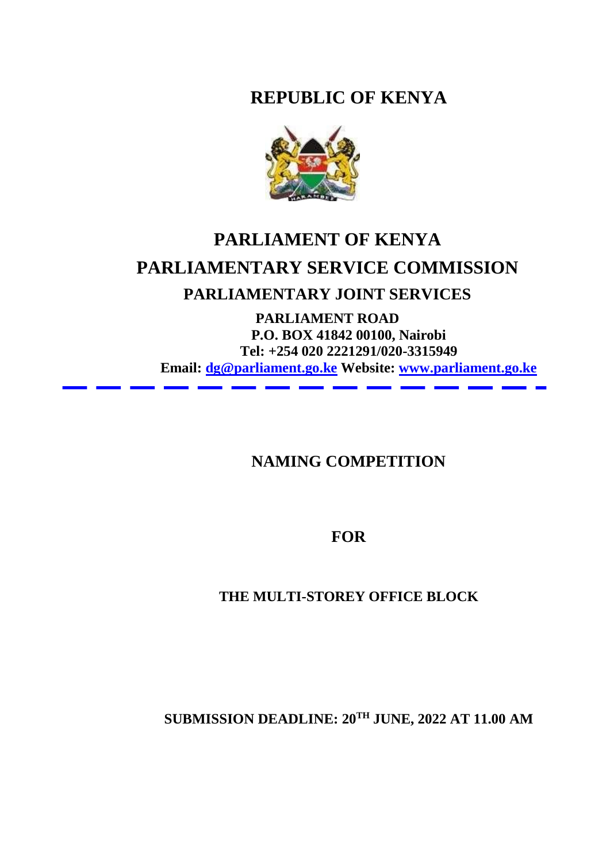**REPUBLIC OF KENYA**



# **PARLIAMENT OF KENYA PARLIAMENTARY SERVICE COMMISSION PARLIAMENTARY JOINT SERVICES**

**PARLIAMENT ROAD P.O. BOX 41842 00100, Nairobi Tel: +254 020 2221291/020-3315949 Email: [dg@parliament.go.ke](mailto:dg@parliament.go.ke) Website: [www.parliament.go.ke](http://www.parliament.go.ke/)**

**NAMING COMPETITION**

**FOR**

**THE MULTI-STOREY OFFICE BLOCK**

**SUBMISSION DEADLINE: 20TH JUNE, 2022 AT 11.00 AM**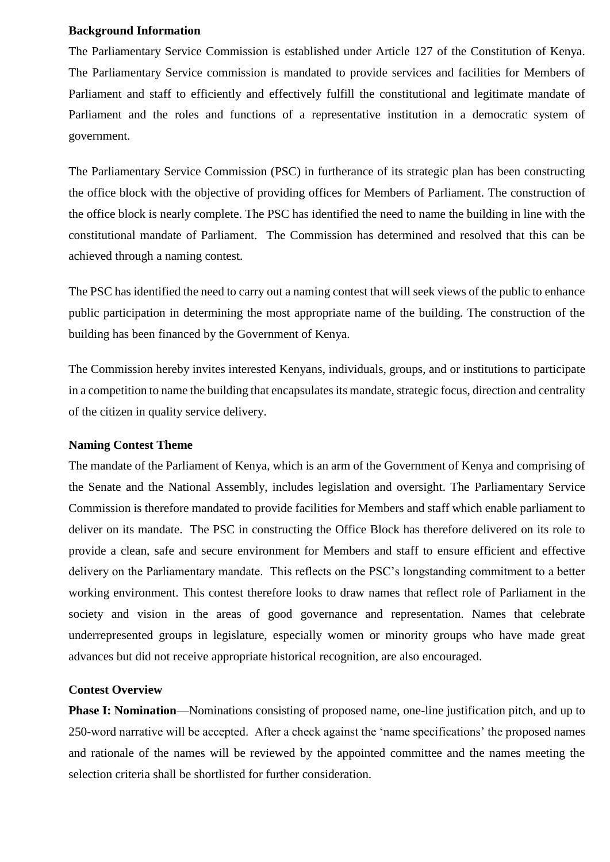#### **Background Information**

The Parliamentary Service Commission is established under Article 127 of the Constitution of Kenya. The Parliamentary Service commission is mandated to provide services and facilities for Members of Parliament and staff to efficiently and effectively fulfill the constitutional and legitimate mandate of Parliament and the roles and functions of a representative institution in a democratic system of government.

The Parliamentary Service Commission (PSC) in furtherance of its strategic plan has been constructing the office block with the objective of providing offices for Members of Parliament. The construction of the office block is nearly complete. The PSC has identified the need to name the building in line with the constitutional mandate of Parliament. The Commission has determined and resolved that this can be achieved through a naming contest.

The PSC has identified the need to carry out a naming contest that will seek views of the public to enhance public participation in determining the most appropriate name of the building. The construction of the building has been financed by the Government of Kenya.

The Commission hereby invites interested Kenyans, individuals, groups, and or institutions to participate in a competition to name the building that encapsulates its mandate, strategic focus, direction and centrality of the citizen in quality service delivery.

### **Naming Contest Theme**

The mandate of the Parliament of Kenya, which is an arm of the Government of Kenya and comprising of the Senate and the National Assembly, includes legislation and oversight. The Parliamentary Service Commission is therefore mandated to provide facilities for Members and staff which enable parliament to deliver on its mandate. The PSC in constructing the Office Block has therefore delivered on its role to provide a clean, safe and secure environment for Members and staff to ensure efficient and effective delivery on the Parliamentary mandate. This reflects on the PSC's longstanding commitment to a better working environment. This contest therefore looks to draw names that reflect role of Parliament in the society and vision in the areas of good governance and representation. Names that celebrate underrepresented groups in legislature, especially women or minority groups who have made great advances but did not receive appropriate historical recognition, are also encouraged.

### **Contest Overview**

**Phase I: Nomination**—Nominations consisting of proposed name, one-line justification pitch, and up to 250-word narrative will be accepted. After a check against the 'name specifications' the proposed names and rationale of the names will be reviewed by the appointed committee and the names meeting the selection criteria shall be shortlisted for further consideration.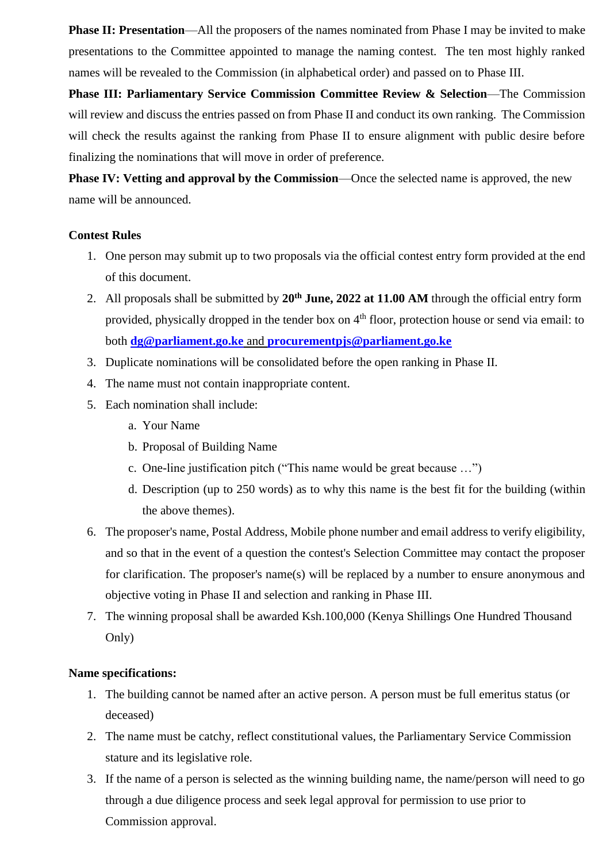**Phase II: Presentation—All** the proposers of the names nominated from Phase I may be invited to make presentations to the Committee appointed to manage the naming contest. The ten most highly ranked names will be revealed to the Commission (in alphabetical order) and passed on to Phase III.

**Phase III: Parliamentary Service Commission Committee Review & Selection**—The Commission will review and discuss the entries passed on from Phase II and conduct its own ranking. The Commission will check the results against the ranking from Phase II to ensure alignment with public desire before finalizing the nominations that will move in order of preference.

**Phase IV: Vetting and approval by the Commission—Once the selected name is approved, the new** name will be announced.

## **Contest Rules**

- 1. One person may submit up to two proposals via the official contest entry form provided at the end of this document.
- 2. All proposals shall be submitted by **20th June, 2022 at 11.00 AM** through the official entry form provided, physically dropped in the tender box on 4<sup>th</sup> floor, protection house or send via email: to both **[dg@parliament.go.ke](mailto:dg@parliament.go.ke)** and **[procurementpjs@parliament.go.ke](mailto:procurementpjs@parliament.go.ke)**
- 3. Duplicate nominations will be consolidated before the open ranking in Phase II.
- 4. The name must not contain inappropriate content.
- 5. Each nomination shall include:
	- a. Your Name
	- b. Proposal of Building Name
	- c. One-line justification pitch ("This name would be great because …")
	- d. Description (up to 250 words) as to why this name is the best fit for the building (within the above themes).
- 6. The proposer's name, Postal Address, Mobile phone number and email address to verify eligibility, and so that in the event of a question the contest's Selection Committee may contact the proposer for clarification. The proposer's name(s) will be replaced by a number to ensure anonymous and objective voting in Phase II and selection and ranking in Phase III.
- 7. The winning proposal shall be awarded Ksh.100,000 (Kenya Shillings One Hundred Thousand Only)

### **Name specifications:**

- 1. The building cannot be named after an active person. A person must be full emeritus status (or deceased)
- 2. The name must be catchy, reflect constitutional values, the Parliamentary Service Commission stature and its legislative role.
- 3. If the name of a person is selected as the winning building name, the name/person will need to go through a due diligence process and seek legal approval for permission to use prior to Commission approval.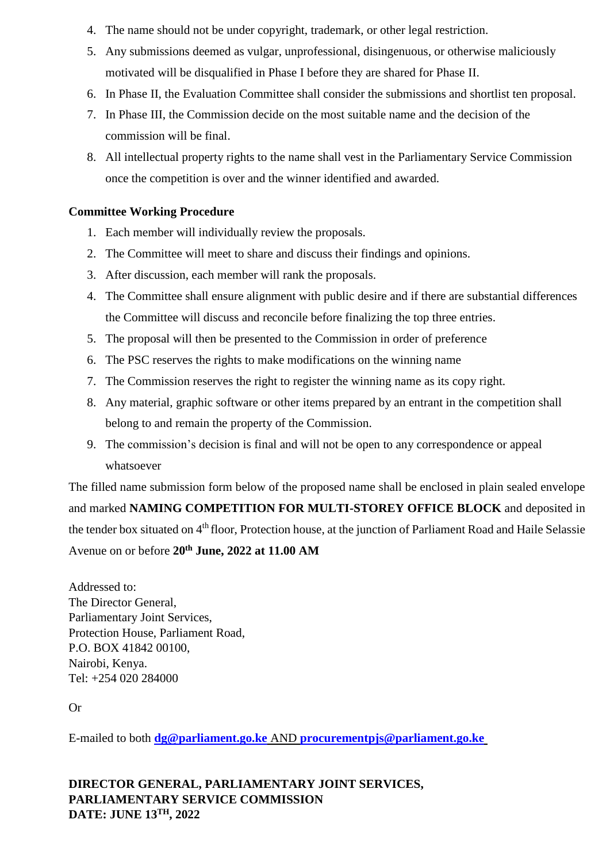- 4. The name should not be under copyright, trademark, or other legal restriction.
- 5. Any submissions deemed as vulgar, unprofessional, disingenuous, or otherwise maliciously motivated will be disqualified in Phase I before they are shared for Phase II.
- 6. In Phase II, the Evaluation Committee shall consider the submissions and shortlist ten proposal.
- 7. In Phase III, the Commission decide on the most suitable name and the decision of the commission will be final.
- 8. All intellectual property rights to the name shall vest in the Parliamentary Service Commission once the competition is over and the winner identified and awarded.

## **Committee Working Procedure**

- 1. Each member will individually review the proposals.
- 2. The Committee will meet to share and discuss their findings and opinions.
- 3. After discussion, each member will rank the proposals.
- 4. The Committee shall ensure alignment with public desire and if there are substantial differences the Committee will discuss and reconcile before finalizing the top three entries.
- 5. The proposal will then be presented to the Commission in order of preference
- 6. The PSC reserves the rights to make modifications on the winning name
- 7. The Commission reserves the right to register the winning name as its copy right.
- 8. Any material, graphic software or other items prepared by an entrant in the competition shall belong to and remain the property of the Commission.
- 9. The commission's decision is final and will not be open to any correspondence or appeal whatsoever

The filled name submission form below of the proposed name shall be enclosed in plain sealed envelope and marked **NAMING COMPETITION FOR MULTI-STOREY OFFICE BLOCK** and deposited in the tender box situated on 4<sup>th</sup> floor, Protection house, at the junction of Parliament Road and Haile Selassie Avenue on or before **20th June, 2022 at 11.00 AM**

Addressed to: The Director General, Parliamentary Joint Services, Protection House, Parliament Road, P.O. BOX 41842 00100, Nairobi, Kenya. Tel: +254 020 284000

Or

E-mailed to both **[dg@parliament.go.ke](mailto:dg@parliament.go.ke)** AND **[procurementpjs@parliament.go.ke](mailto:procurementpjs@parliament.go.ke)**

# **DIRECTOR GENERAL, PARLIAMENTARY JOINT SERVICES, PARLIAMENTARY SERVICE COMMISSION DATE: JUNE 13TH, 2022**